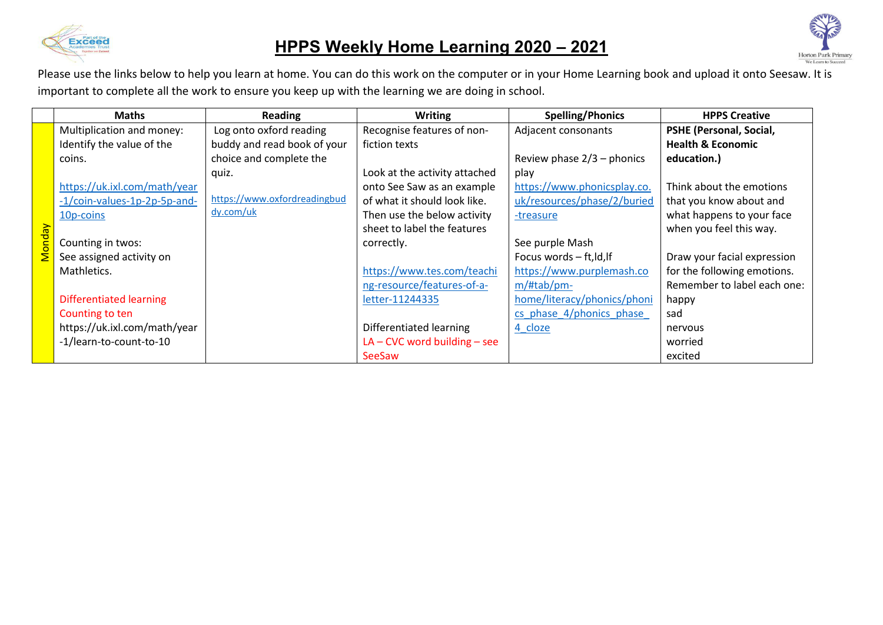

## **HPPS Weekly Home Learning 2020 – 2021**



|        | <b>Maths</b>                   | Reading                      | <b>Writing</b>                 | <b>Spelling/Phonics</b>      | <b>HPPS Creative</b>         |
|--------|--------------------------------|------------------------------|--------------------------------|------------------------------|------------------------------|
|        | Multiplication and money:      | Log onto oxford reading      | Recognise features of non-     | Adjacent consonants          | PSHE (Personal, Social,      |
|        | Identify the value of the      | buddy and read book of your  | fiction texts                  |                              | <b>Health &amp; Economic</b> |
|        | coins.                         | choice and complete the      |                                | Review phase $2/3$ – phonics | education.)                  |
|        |                                | quiz.                        | Look at the activity attached  | play                         |                              |
|        | https://uk.ixl.com/math/year   |                              | onto See Saw as an example     | https://www.phonicsplay.co.  | Think about the emotions     |
|        | -1/coin-values-1p-2p-5p-and-   | https://www.oxfordreadingbud | of what it should look like.   | uk/resources/phase/2/buried  | that you know about and      |
|        | 10p-coins                      | dy.com/uk                    | Then use the below activity    | -treasure                    | what happens to your face    |
| Vonday |                                |                              | sheet to label the features    |                              | when you feel this way.      |
|        | Counting in twos:              |                              | correctly.                     | See purple Mash              |                              |
|        | See assigned activity on       |                              |                                | Focus words - ft, ld, lf     | Draw your facial expression  |
|        | Mathletics.                    |                              | https://www.tes.com/teachi     | https://www.purplemash.co    | for the following emotions.  |
|        |                                |                              | ng-resource/features-of-a-     | $m/\text{Htab}/\text{pm}$    | Remember to label each one:  |
|        | <b>Differentiated learning</b> |                              | letter-11244335                | home/literacy/phonics/phoni  | happy                        |
|        | Counting to ten                |                              |                                | cs phase 4/phonics phase     | sad                          |
|        | https://uk.ixl.com/math/year   |                              | Differentiated learning        | 4 cloze                      | nervous                      |
|        | -1/learn-to-count-to-10        |                              | $LA$ – CVC word building – see |                              | worried                      |
|        |                                |                              | <b>SeeSaw</b>                  |                              | excited                      |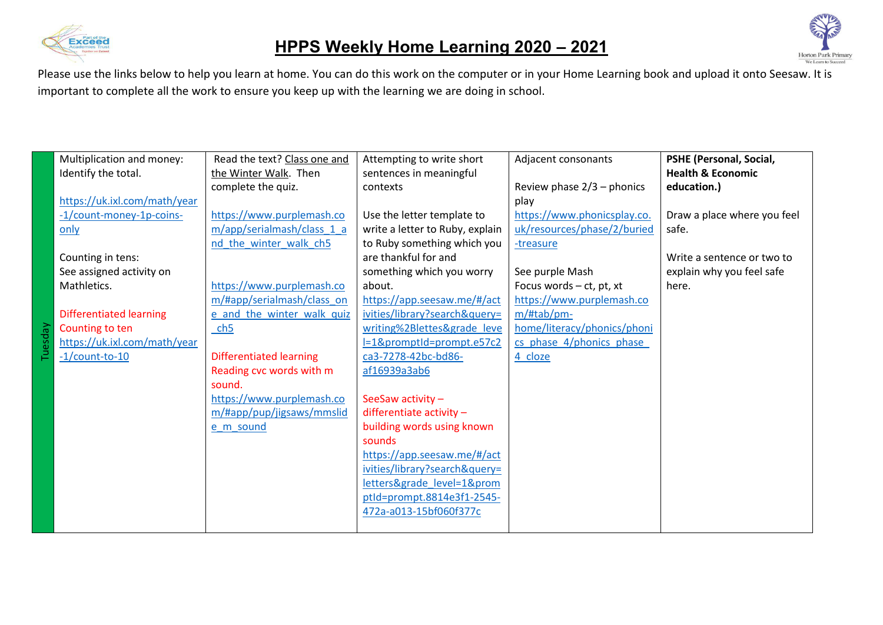



|     | Multiplication and money:      | Read the text? Class one and   | Attempting to write short       | Adjacent consonants          | PSHE (Personal, Social,      |
|-----|--------------------------------|--------------------------------|---------------------------------|------------------------------|------------------------------|
|     | Identify the total.            | the Winter Walk. Then          | sentences in meaningful         |                              | <b>Health &amp; Economic</b> |
|     |                                | complete the quiz.             | contexts                        | Review phase $2/3$ – phonics | education.)                  |
|     | https://uk.ixl.com/math/year   |                                |                                 | play                         |                              |
|     | -1/count-money-1p-coins-       | https://www.purplemash.co      | Use the letter template to      | https://www.phonicsplay.co.  | Draw a place where you feel  |
|     | only                           | m/app/serialmash/class 1 a     | write a letter to Ruby, explain | uk/resources/phase/2/buried  | safe.                        |
|     |                                | nd_the_winter_walk_ch5         | to Ruby something which you     | -treasure                    |                              |
|     | Counting in tens:              |                                | are thankful for and            |                              | Write a sentence or two to   |
|     | See assigned activity on       |                                | something which you worry       | See purple Mash              | explain why you feel safe    |
|     | Mathletics.                    | https://www.purplemash.co      | about.                          | Focus words - ct, pt, xt     | here.                        |
|     |                                | m/#app/serialmash/class_on     | https://app.seesaw.me/#/act     | https://www.purplemash.co    |                              |
|     | <b>Differentiated learning</b> | e and the winter walk quiz     | ivities/library?search&query=   | m/#tab/pm-                   |                              |
| Λeρ | Counting to ten                | ch <sub>5</sub>                | writing%2Blettes&grade leve     | home/literacy/phonics/phoni  |                              |
|     | https://uk.ixl.com/math/year   |                                | l=1&promptId=prompt.e57c2       | cs phase 4/phonics phase     |                              |
|     | $-1$ /count-to-10              | <b>Differentiated learning</b> | ca3-7278-42bc-bd86-             | 4 cloze                      |                              |
|     |                                | Reading cvc words with m       | af16939a3ab6                    |                              |                              |
|     |                                | sound.                         |                                 |                              |                              |
|     |                                | https://www.purplemash.co      | SeeSaw activity -               |                              |                              |
|     |                                | m/#app/pup/jigsaws/mmslid      | differentiate activity $-$      |                              |                              |
|     |                                | e_m_sound                      | building words using known      |                              |                              |
|     |                                |                                | sounds                          |                              |                              |
|     |                                |                                | https://app.seesaw.me/#/act     |                              |                              |
|     |                                |                                | ivities/library?search&query=   |                              |                              |
|     |                                |                                | letters&grade_level=1&prom      |                              |                              |
|     |                                |                                | ptld=prompt.8814e3f1-2545-      |                              |                              |
|     |                                |                                | 472a-a013-15bf060f377c          |                              |                              |
|     |                                |                                |                                 |                              |                              |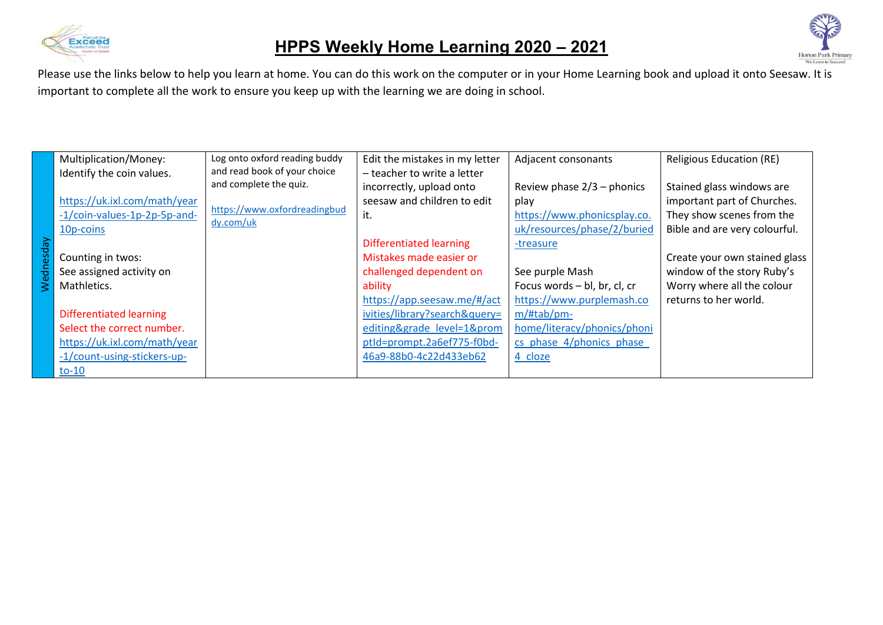



|                  | Multiplication/Money:        | Log onto oxford reading buddy             | Edit the mistakes in my letter | Adjacent consonants          | <b>Religious Education (RE)</b> |
|------------------|------------------------------|-------------------------------------------|--------------------------------|------------------------------|---------------------------------|
|                  | Identify the coin values.    | and read book of your choice              | - teacher to write a letter    |                              |                                 |
|                  |                              | and complete the quiz.                    | incorrectly, upload onto       | Review phase $2/3$ – phonics | Stained glass windows are       |
|                  | https://uk.ixl.com/math/year |                                           | seesaw and children to edit    | play                         | important part of Churches.     |
|                  | -1/coin-values-1p-2p-5p-and- | https://www.oxfordreadingbud<br>dy.com/uk | it.                            | https://www.phonicsplay.co.  | They show scenes from the       |
|                  | 10p-coins                    |                                           |                                | uk/resources/phase/2/buried  | Bible and are very colourful.   |
|                  |                              |                                           | <b>Differentiated learning</b> | -treasure                    |                                 |
|                  | Counting in twos:            |                                           | Mistakes made easier or        |                              | Create your own stained glass   |
| <b>Nednesday</b> | See assigned activity on     |                                           | challenged dependent on        | See purple Mash              | window of the story Ruby's      |
|                  | Mathletics.                  |                                           | ability                        | Focus words - bl, br, cl, cr | Worry where all the colour      |
|                  |                              |                                           | https://app.seesaw.me/#/act    | https://www.purplemash.co    | returns to her world.           |
|                  | Differentiated learning      |                                           | ivities/library?search&query=  | $m/$ #tab/pm-                |                                 |
|                  | Select the correct number.   |                                           | editing&grade level=1&prom     | home/literacy/phonics/phoni  |                                 |
|                  | https://uk.ixl.com/math/year |                                           | ptId=prompt.2a6ef775-f0bd-     | cs phase 4/phonics phase     |                                 |
|                  | -1/count-using-stickers-up-  |                                           | 46a9-88b0-4c22d433eb62         | 4 cloze                      |                                 |
|                  | $to-10$                      |                                           |                                |                              |                                 |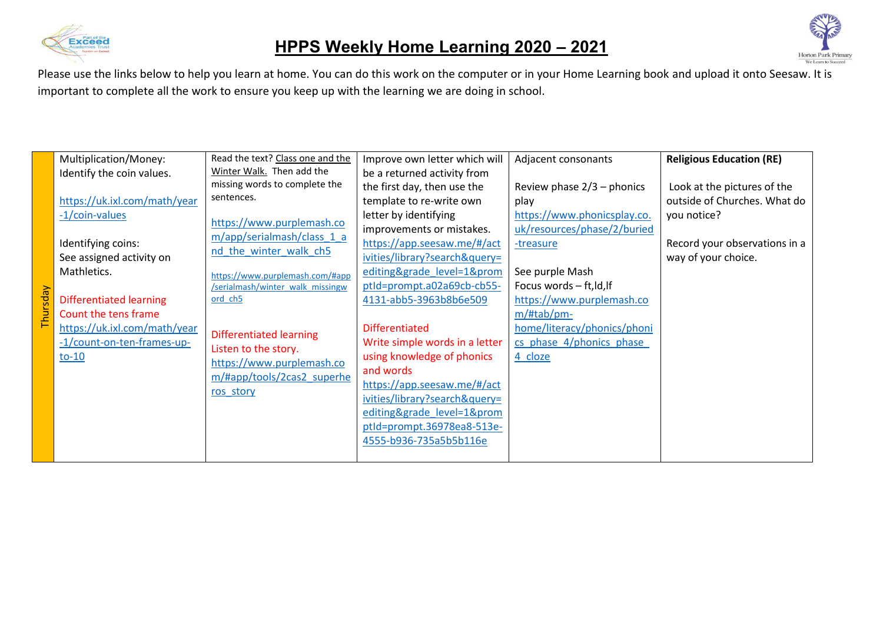



|         | Multiplication/Money:          | Read the text? Class one and the                                    | Improve own letter which will  | Adjacent consonants          | <b>Religious Education (RE)</b> |
|---------|--------------------------------|---------------------------------------------------------------------|--------------------------------|------------------------------|---------------------------------|
|         | Identify the coin values.      | Winter Walk. Then add the                                           | be a returned activity from    |                              |                                 |
|         |                                | missing words to complete the                                       | the first day, then use the    | Review phase $2/3$ – phonics | Look at the pictures of the     |
|         | https://uk.ixl.com/math/year   | sentences.                                                          | template to re-write own       | play                         | outside of Churches. What do    |
|         | -1/coin-values                 |                                                                     | letter by identifying          | https://www.phonicsplay.co.  | you notice?                     |
|         |                                | https://www.purplemash.co                                           | improvements or mistakes.      | uk/resources/phase/2/buried  |                                 |
|         | Identifying coins:             | m/app/serialmash/class 1 a                                          | https://app.seesaw.me/#/act    | -treasure                    | Record your observations in a   |
|         | See assigned activity on       | nd the winter walk ch5                                              | ivities/library?search&query=  |                              | way of your choice.             |
|         | Mathletics.                    | https://www.purplemash.com/#app<br>/serialmash/winter walk missingw | editing&grade level=1&prom     | See purple Mash              |                                 |
|         |                                |                                                                     | ptld=prompt.a02a69cb-cb55-     | Focus words - ft, ld, lf     |                                 |
| hursday | <b>Differentiated learning</b> | ord ch5                                                             | 4131-abb5-3963b8b6e509         | https://www.purplemash.co    |                                 |
|         | Count the tens frame           |                                                                     |                                | m/#tab/pm-                   |                                 |
|         | https://uk.ixl.com/math/year   | <b>Differentiated learning</b>                                      | <b>Differentiated</b>          | home/literacy/phonics/phoni  |                                 |
|         | -1/count-on-ten-frames-up-     |                                                                     | Write simple words in a letter | cs phase 4/phonics phase     |                                 |
|         | $to-10$                        | Listen to the story.                                                | using knowledge of phonics     | 4 cloze                      |                                 |
|         |                                | https://www.purplemash.co                                           | and words                      |                              |                                 |
|         |                                | m/#app/tools/2cas2 superhe                                          | https://app.seesaw.me/#/act    |                              |                                 |
|         |                                | ros story                                                           | ivities/library?search&query=  |                              |                                 |
|         |                                |                                                                     | editing&grade level=1&prom     |                              |                                 |
|         |                                |                                                                     | ptld=prompt.36978ea8-513e-     |                              |                                 |
|         |                                |                                                                     | 4555-b936-735a5b5b116e         |                              |                                 |
|         |                                |                                                                     |                                |                              |                                 |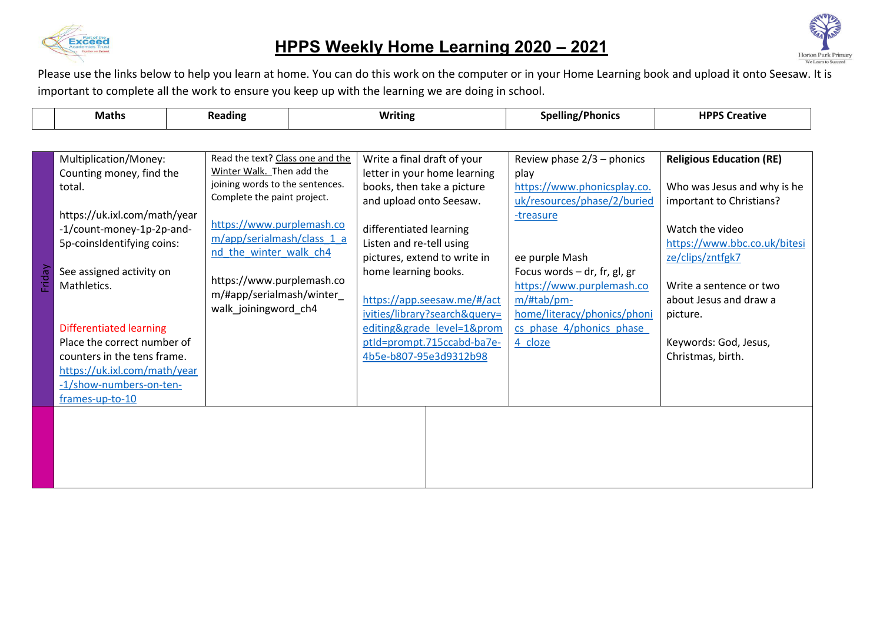

## **HPPS Weekly Home Learning 2020 – 2021**



|        | <b>Maths</b>                                                                                                                                                                                                                                                                                                                                                                    |  | <b>Reading</b>                                                                                                                                                                                                                                                                                         |  | <b>Writing</b>                                                                                                                                                                                |                                                                                                                                                                                          | <b>Spelling/Phonics</b>                                                                                                                                                                                                                                                            | <b>HPPS Creative</b>                                                                                                                                                                                                                                                             |
|--------|---------------------------------------------------------------------------------------------------------------------------------------------------------------------------------------------------------------------------------------------------------------------------------------------------------------------------------------------------------------------------------|--|--------------------------------------------------------------------------------------------------------------------------------------------------------------------------------------------------------------------------------------------------------------------------------------------------------|--|-----------------------------------------------------------------------------------------------------------------------------------------------------------------------------------------------|------------------------------------------------------------------------------------------------------------------------------------------------------------------------------------------|------------------------------------------------------------------------------------------------------------------------------------------------------------------------------------------------------------------------------------------------------------------------------------|----------------------------------------------------------------------------------------------------------------------------------------------------------------------------------------------------------------------------------------------------------------------------------|
|        |                                                                                                                                                                                                                                                                                                                                                                                 |  |                                                                                                                                                                                                                                                                                                        |  |                                                                                                                                                                                               |                                                                                                                                                                                          |                                                                                                                                                                                                                                                                                    |                                                                                                                                                                                                                                                                                  |
| Friday | Multiplication/Money:<br>Counting money, find the<br>total.<br>https://uk.ixl.com/math/year<br>-1/count-money-1p-2p-and-<br>5p-coinsIdentifying coins:<br>See assigned activity on<br>Mathletics.<br><b>Differentiated learning</b><br>Place the correct number of<br>counters in the tens frame.<br>https://uk.ixl.com/math/year<br>-1/show-numbers-on-ten-<br>frames-up-to-10 |  | Read the text? Class one and the<br>Winter Walk. Then add the<br>joining words to the sentences.<br>Complete the paint project.<br>https://www.purplemash.co<br>m/app/serialmash/class_1_a<br>nd the winter walk ch4<br>https://www.purplemash.co<br>m/#app/serialmash/winter_<br>walk_joiningword_ch4 |  | Write a final draft of your<br>books, then take a picture<br>and upload onto Seesaw.<br>differentiated learning<br>Listen and re-tell using<br>home learning books.<br>4b5e-b807-95e3d9312b98 | letter in your home learning<br>pictures, extend to write in<br>https://app.seesaw.me/#/act<br>ivities/library?search&query=<br>editing&grade level=1&prom<br>ptld=prompt.715ccabd-ba7e- | Review phase $2/3$ – phonics<br>play<br>https://www.phonicsplay.co.<br>uk/resources/phase/2/buried<br>-treasure<br>ee purple Mash<br>Focus words - dr, fr, gl, gr<br>https://www.purplemash.co<br>m/#tab/pm-<br>home/literacy/phonics/phoni<br>cs phase 4/phonics phase<br>4 cloze | <b>Religious Education (RE)</b><br>Who was Jesus and why is he<br>important to Christians?<br>Watch the video<br>https://www.bbc.co.uk/bitesi<br>ze/clips/zntfgk7<br>Write a sentence or two<br>about Jesus and draw a<br>picture.<br>Keywords: God, Jesus,<br>Christmas, birth. |
|        |                                                                                                                                                                                                                                                                                                                                                                                 |  |                                                                                                                                                                                                                                                                                                        |  |                                                                                                                                                                                               |                                                                                                                                                                                          |                                                                                                                                                                                                                                                                                    |                                                                                                                                                                                                                                                                                  |